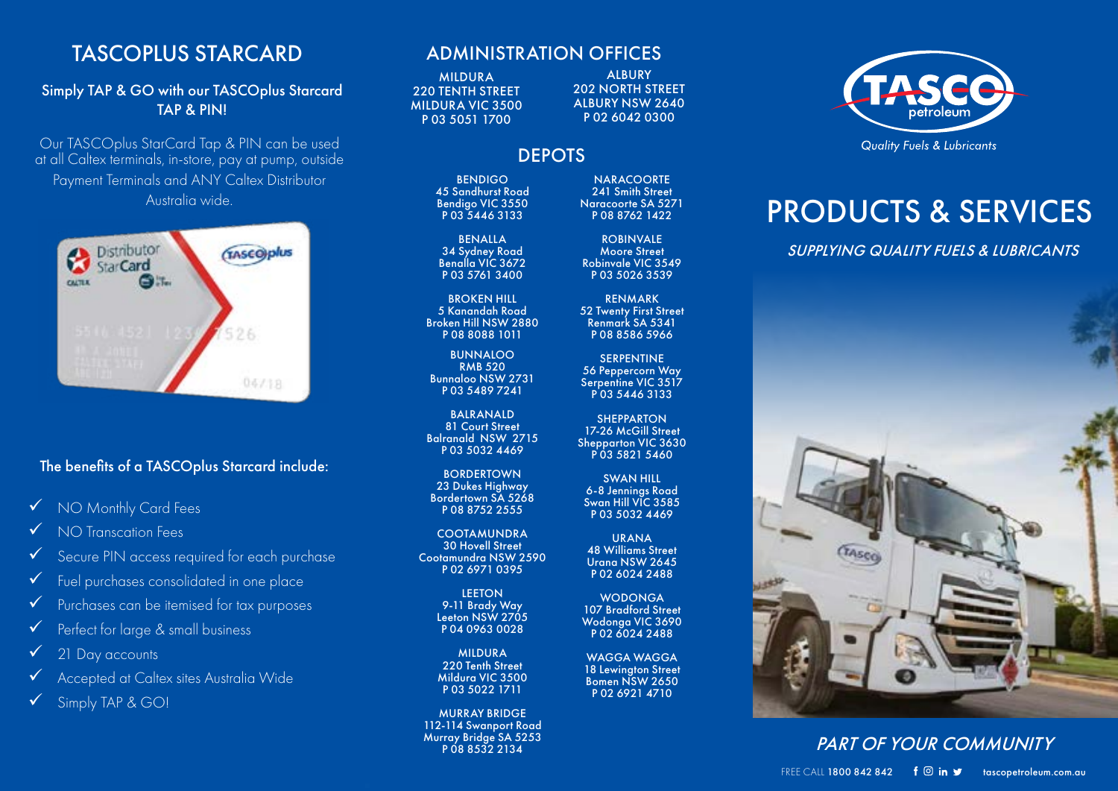### TASCOPLUS STARCARD

### Simply TAP & GO with our TASCOplus Starcard TAP & PIN!

Our TASCOplus StarCard Tap & PIN can be used at all Caltex terminals, in-store, pay at pump, outside Payment Terminals and ANY Caltex Distributor Australia wide.



### The benefits of a TASCOplus Starcard include:

### V NO Monthly Card Fees

 $\checkmark$  NO Transcation Fees

- Secure PIN access required for each purchase
- Fuel purchases consolidated in one place
- ü Purchases can be itemised for tax purposes
- Perfect for large & small business
- 21 Day accounts
- ü Accepted at Caltex sites Australia Wide
- Simply TAP & GO!

### ADMINISTRATION OFFICES

MILDURA 220 TENTH STREET MILDURA VIC 3500 P 03 5051 1700

ALBURY 202 NORTH STREET ALBURY NSW 2640 P 02 6042 0300

### DEPOTS

BENDIGO 45 Sandhurst Road Bendigo VIC 3550 P 03 5446 3133

BENALLA 34 Sydney Road Benalla VIC 3672 P 03 5761 3400

BROKEN HILL 5 Kanandah Road Broken Hill NSW 2880 P 08 8088 1011

**BUNNALOO** RMB 520 Bunnaloo NSW 2731 P 03 5489 7241

**BAIRANAID** 81 Court Street Balranald NSW 2715 P 03 5032 4469

BORDERTOWN 23 Dukes Highway Bordertown SA 5268 P 08 8752 2555

**COOTAMUNDRA** 30 Hovell Street Cootamundra NSW 2590 P 02 6971 0395

> **LEETON** 9-11 Brady Way Leeton NSW 2705 P 04 0963 0028

> MILDURA 220 Tenth Street Mildura VIC 3500 P 03 5022 1711

MURRAY BRIDGE 112-114 Swanport Road Murray Bridge SA 5253 P 08 8532 2134

**NARACOORTE** 241 Smith Street Naracoorte SA 5271 P 08 8762 1422

ROBINVALE Moore Street Robinvale VIC 3549 P 03 5026 3539

RENMARK 52 Twenty First Street Renmark SA 5341 P 08 8586 5966

**SERPENTINE** 56 Peppercorn Way Serpentine VIC 3517 P 03 5446 3133

**SHEPPARTON** 17-26 McGill Street Shepparton VIC 3630 P 03 5821 5460

SWAN HILL 6-8 Jennings Road Swan Hill VIC 3585 P 03 5032 4469

URANA 48 Williams Street Urana NSW 2645 P 02 6024 2488

WODONGA 107 Bradford Street Wodonga VIC 3690 P 02 6024 2488

WAGGA WAGGA 18 Lewington Street Bomen NSW 2650 P 02 6921 4710



# PRODUCTS & SERVICES

*SUPPLYING QUALITY FUELS & LUBRICANTS*



### *PART OF YOUR COMMUNITY*